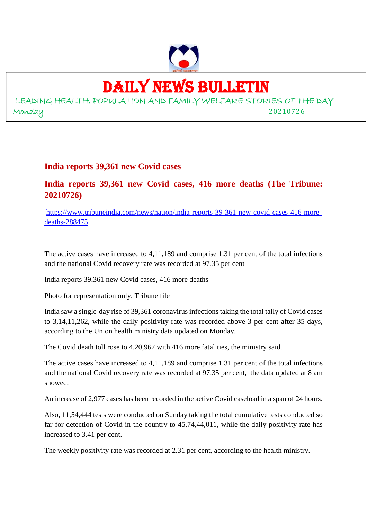

### DAILY NEWS BULLETIN

LEADING HEALTH, POPULATION AND FAMILY WELFARE STORIES OF THE DAY Monday 20210726

#### **India reports 39,361 new Covid cases**

#### **India reports 39,361 new Covid cases, 416 more deaths (The Tribune: 20210726)**

https://www.tribuneindia.com/news/nation/india-reports-39-361-new-covid-cases-416-moredeaths-288475

The active cases have increased to 4,11,189 and comprise 1.31 per cent of the total infections and the national Covid recovery rate was recorded at 97.35 per cent

India reports 39,361 new Covid cases, 416 more deaths

Photo for representation only. Tribune file

India saw a single-day rise of 39,361 coronavirus infections taking the total tally of Covid cases to 3,14,11,262, while the daily positivity rate was recorded above 3 per cent after 35 days, according to the Union health ministry data updated on Monday.

The Covid death toll rose to 4,20,967 with 416 more fatalities, the ministry said.

The active cases have increased to 4,11,189 and comprise 1.31 per cent of the total infections and the national Covid recovery rate was recorded at 97.35 per cent, the data updated at 8 am showed.

An increase of 2,977 cases has been recorded in the active Covid caseload in a span of 24 hours.

Also, 11,54,444 tests were conducted on Sunday taking the total cumulative tests conducted so far for detection of Covid in the country to 45,74,44,011, while the daily positivity rate has increased to 3.41 per cent.

The weekly positivity rate was recorded at 2.31 per cent, according to the health ministry.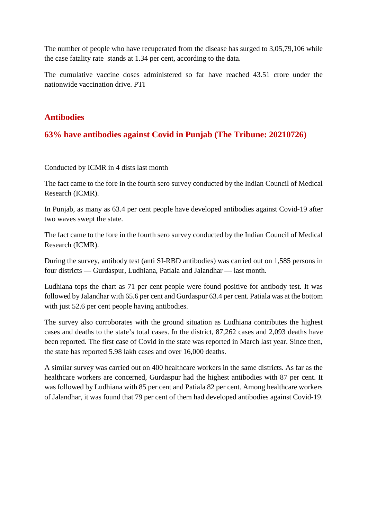The number of people who have recuperated from the disease has surged to 3,05,79,106 while the case fatality rate stands at 1.34 per cent, according to the data.

The cumulative vaccine doses administered so far have reached 43.51 crore under the nationwide vaccination drive. PTI

#### **Antibodies**

#### **63% have antibodies against Covid in Punjab (The Tribune: 20210726)**

Conducted by ICMR in 4 dists last month

The fact came to the fore in the fourth sero survey conducted by the Indian Council of Medical Research (ICMR).

In Punjab, as many as 63.4 per cent people have developed antibodies against Covid-19 after two waves swept the state.

The fact came to the fore in the fourth sero survey conducted by the Indian Council of Medical Research (ICMR).

During the survey, antibody test (anti SI-RBD antibodies) was carried out on 1,585 persons in four districts — Gurdaspur, Ludhiana, Patiala and Jalandhar — last month.

Ludhiana tops the chart as 71 per cent people were found positive for antibody test. It was followed by Jalandhar with 65.6 per cent and Gurdaspur 63.4 per cent. Patiala was at the bottom with just 52.6 per cent people having antibodies.

The survey also corroborates with the ground situation as Ludhiana contributes the highest cases and deaths to the state's total cases. In the district, 87,262 cases and 2,093 deaths have been reported. The first case of Covid in the state was reported in March last year. Since then, the state has reported 5.98 lakh cases and over 16,000 deaths.

A similar survey was carried out on 400 healthcare workers in the same districts. As far as the healthcare workers are concerned, Gurdaspur had the highest antibodies with 87 per cent. It was followed by Ludhiana with 85 per cent and Patiala 82 per cent. Among healthcare workers of Jalandhar, it was found that 79 per cent of them had developed antibodies against Covid-19.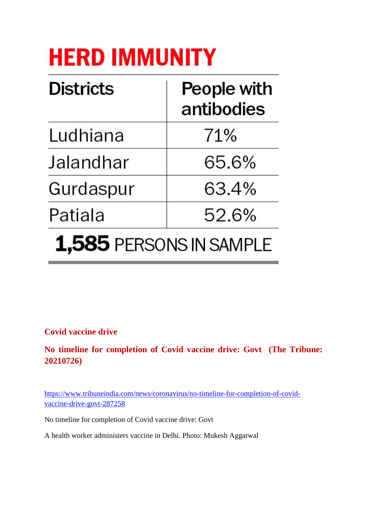## **HERD IMMUNITY**

| <b>Districts</b> | People with<br>antibodies |
|------------------|---------------------------|
| Ludhiana         | 71%                       |
| Jalandhar        | 65.6%                     |
| Gurdaspur        | 63.4%                     |
| Patiala          | 52.6%                     |
|                  | 1,585 PERSONS IN SAMPLE   |

#### **Covid vaccine drive**

**No timeline for completion of Covid vaccine drive: Govt (The Tribune: 20210726)**

https://www.tribuneindia.com/news/coronavirus/no-timeline-for-completion-of-covidvaccine-drive-govt-287258

No timeline for completion of Covid vaccine drive: Govt

A health worker administers vaccine in Delhi. Photo: Mukesh Aggarwal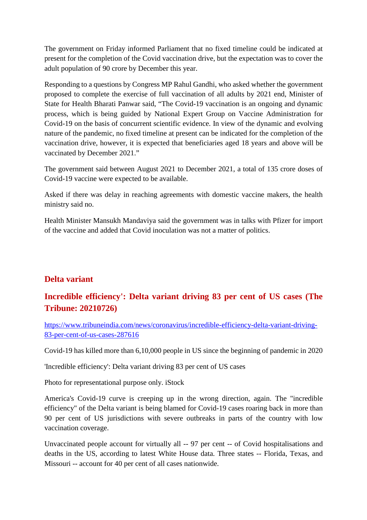The government on Friday informed Parliament that no fixed timeline could be indicated at present for the completion of the Covid vaccination drive, but the expectation was to cover the adult population of 90 crore by December this year.

Responding to a questions by Congress MP Rahul Gandhi, who asked whether the government proposed to complete the exercise of full vaccination of all adults by 2021 end, Minister of State for Health Bharati Panwar said, "The Covid-19 vaccination is an ongoing and dynamic process, which is being guided by National Expert Group on Vaccine Administration for Covid-19 on the basis of concurrent scientific evidence. In view of the dynamic and evolving nature of the pandemic, no fixed timeline at present can be indicated for the completion of the vaccination drive, however, it is expected that beneficiaries aged 18 years and above will be vaccinated by December 2021."

The government said between August 2021 to December 2021, a total of 135 crore doses of Covid-19 vaccine were expected to be available.

Asked if there was delay in reaching agreements with domestic vaccine makers, the health ministry said no.

Health Minister Mansukh Mandaviya said the government was in talks with Pfizer for import of the vaccine and added that Covid inoculation was not a matter of politics.

#### **Delta variant**

#### **Incredible efficiency': Delta variant driving 83 per cent of US cases (The Tribune: 20210726)**

https://www.tribuneindia.com/news/coronavirus/incredible-efficiency-delta-variant-driving-83-per-cent-of-us-cases-287616

Covid-19 has killed more than 6,10,000 people in US since the beginning of pandemic in 2020

'Incredible efficiency': Delta variant driving 83 per cent of US cases

Photo for representational purpose only. iStock

America's Covid-19 curve is creeping up in the wrong direction, again. The "incredible efficiency" of the Delta variant is being blamed for Covid-19 cases roaring back in more than 90 per cent of US jurisdictions with severe outbreaks in parts of the country with low vaccination coverage.

Unvaccinated people account for virtually all -- 97 per cent -- of Covid hospitalisations and deaths in the US, according to latest White House data. Three states -- Florida, Texas, and Missouri -- account for 40 per cent of all cases nationwide.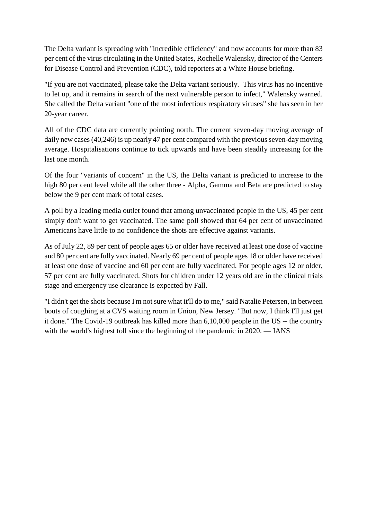The Delta variant is spreading with "incredible efficiency" and now accounts for more than 83 per cent of the virus circulating in the United States, Rochelle Walensky, director of the Centers for Disease Control and Prevention (CDC), told reporters at a White House briefing.

"If you are not vaccinated, please take the Delta variant seriously. This virus has no incentive to let up, and it remains in search of the next vulnerable person to infect," Walensky warned. She called the Delta variant "one of the most infectious respiratory viruses" she has seen in her 20-year career.

All of the CDC data are currently pointing north. The current seven-day moving average of daily new cases (40,246) is up nearly 47 per cent compared with the previous seven-day moving average. Hospitalisations continue to tick upwards and have been steadily increasing for the last one month.

Of the four "variants of concern" in the US, the Delta variant is predicted to increase to the high 80 per cent level while all the other three - Alpha, Gamma and Beta are predicted to stay below the 9 per cent mark of total cases.

A poll by a leading media outlet found that among unvaccinated people in the US, 45 per cent simply don't want to get vaccinated. The same poll showed that 64 per cent of unvaccinated Americans have little to no confidence the shots are effective against variants.

As of July 22, 89 per cent of people ages 65 or older have received at least one dose of vaccine and 80 per cent are fully vaccinated. Nearly 69 per cent of people ages 18 or older have received at least one dose of vaccine and 60 per cent are fully vaccinated. For people ages 12 or older, 57 per cent are fully vaccinated. Shots for children under 12 years old are in the clinical trials stage and emergency use clearance is expected by Fall.

"I didn't get the shots because I'm not sure what it'll do to me," said Natalie Petersen, in between bouts of coughing at a CVS waiting room in Union, New Jersey. "But now, I think I'll just get it done." The Covid-19 outbreak has killed more than 6,10,000 people in the US -- the country with the world's highest toll since the beginning of the pandemic in 2020. — IANS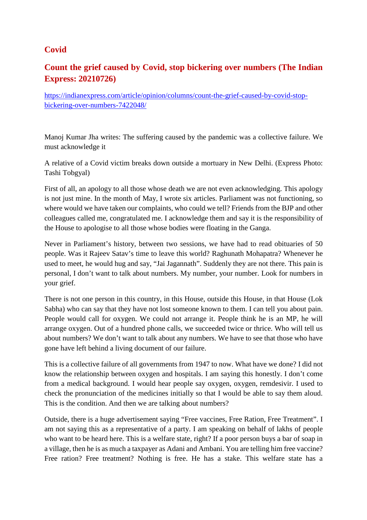#### **Covid**

#### **Count the grief caused by Covid, stop bickering over numbers (The Indian Express: 20210726)**

https://indianexpress.com/article/opinion/columns/count-the-grief-caused-by-covid-stopbickering-over-numbers-7422048/

Manoj Kumar Jha writes: The suffering caused by the pandemic was a collective failure. We must acknowledge it

A relative of a Covid victim breaks down outside a mortuary in New Delhi. (Express Photo: Tashi Tobgyal)

First of all, an apology to all those whose death we are not even acknowledging. This apology is not just mine. In the month of May, I wrote six articles. Parliament was not functioning, so where would we have taken our complaints, who could we tell? Friends from the BJP and other colleagues called me, congratulated me. I acknowledge them and say it is the responsibility of the House to apologise to all those whose bodies were floating in the Ganga.

Never in Parliament's history, between two sessions, we have had to read obituaries of 50 people. Was it Rajeev Satav's time to leave this world? Raghunath Mohapatra? Whenever he used to meet, he would hug and say, "Jai Jagannath". Suddenly they are not there. This pain is personal, I don't want to talk about numbers. My number, your number. Look for numbers in your grief.

There is not one person in this country, in this House, outside this House, in that House (Lok Sabha) who can say that they have not lost someone known to them. I can tell you about pain. People would call for oxygen. We could not arrange it. People think he is an MP, he will arrange oxygen. Out of a hundred phone calls, we succeeded twice or thrice. Who will tell us about numbers? We don't want to talk about any numbers. We have to see that those who have gone have left behind a living document of our failure.

This is a collective failure of all governments from 1947 to now. What have we done? I did not know the relationship between oxygen and hospitals. I am saying this honestly. I don't come from a medical background. I would hear people say oxygen, oxygen, remdesivir. I used to check the pronunciation of the medicines initially so that I would be able to say them aloud. This is the condition. And then we are talking about numbers?

Outside, there is a huge advertisement saying "Free vaccines, Free Ration, Free Treatment". I am not saying this as a representative of a party. I am speaking on behalf of lakhs of people who want to be heard here. This is a welfare state, right? If a poor person buys a bar of soap in a village, then he is as much a taxpayer as Adani and Ambani. You are telling him free vaccine? Free ration? Free treatment? Nothing is free. He has a stake. This welfare state has a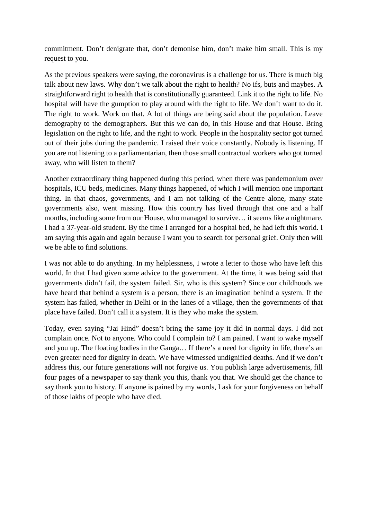commitment. Don't denigrate that, don't demonise him, don't make him small. This is my request to you.

As the previous speakers were saying, the coronavirus is a challenge for us. There is much big talk about new laws. Why don't we talk about the right to health? No ifs, buts and maybes. A straightforward right to health that is constitutionally guaranteed. Link it to the right to life. No hospital will have the gumption to play around with the right to life. We don't want to do it. The right to work. Work on that. A lot of things are being said about the population. Leave demography to the demographers. But this we can do, in this House and that House. Bring legislation on the right to life, and the right to work. People in the hospitality sector got turned out of their jobs during the pandemic. I raised their voice constantly. Nobody is listening. If you are not listening to a parliamentarian, then those small contractual workers who got turned away, who will listen to them?

Another extraordinary thing happened during this period, when there was pandemonium over hospitals, ICU beds, medicines. Many things happened, of which I will mention one important thing. In that chaos, governments, and I am not talking of the Centre alone, many state governments also, went missing. How this country has lived through that one and a half months, including some from our House, who managed to survive… it seems like a nightmare. I had a 37-year-old student. By the time I arranged for a hospital bed, he had left this world. I am saying this again and again because I want you to search for personal grief. Only then will we be able to find solutions.

I was not able to do anything. In my helplessness, I wrote a letter to those who have left this world. In that I had given some advice to the government. At the time, it was being said that governments didn't fail, the system failed. Sir, who is this system? Since our childhoods we have heard that behind a system is a person, there is an imagination behind a system. If the system has failed, whether in Delhi or in the lanes of a village, then the governments of that place have failed. Don't call it a system. It is they who make the system.

Today, even saying "Jai Hind" doesn't bring the same joy it did in normal days. I did not complain once. Not to anyone. Who could I complain to? I am pained. I want to wake myself and you up. The floating bodies in the Ganga… If there's a need for dignity in life, there's an even greater need for dignity in death. We have witnessed undignified deaths. And if we don't address this, our future generations will not forgive us. You publish large advertisements, fill four pages of a newspaper to say thank you this, thank you that. We should get the chance to say thank you to history. If anyone is pained by my words, I ask for your forgiveness on behalf of those lakhs of people who have died.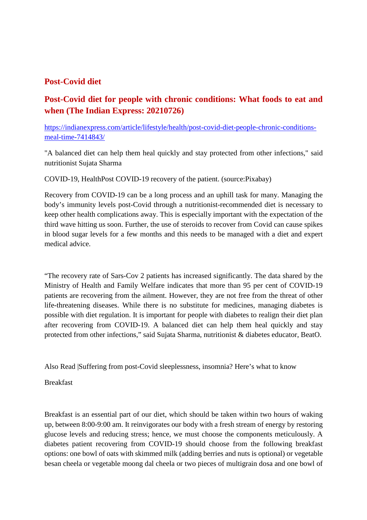#### **Post-Covid diet**

#### **Post-Covid diet for people with chronic conditions: What foods to eat and when (The Indian Express: 20210726)**

https://indianexpress.com/article/lifestyle/health/post-covid-diet-people-chronic-conditionsmeal-time-7414843/

"A balanced diet can help them heal quickly and stay protected from other infections," said nutritionist Sujata Sharma

COVID-19, HealthPost COVID-19 recovery of the patient. (source:Pixabay)

Recovery from COVID-19 can be a long process and an uphill task for many. Managing the body's immunity levels post-Covid through a nutritionist-recommended diet is necessary to keep other health complications away. This is especially important with the expectation of the third wave hitting us soon. Further, the use of steroids to recover from Covid can cause spikes in blood sugar levels for a few months and this needs to be managed with a diet and expert medical advice.

"The recovery rate of Sars-Cov 2 patients has increased significantly. The data shared by the Ministry of Health and Family Welfare indicates that more than 95 per cent of COVID-19 patients are recovering from the ailment. However, they are not free from the threat of other life-threatening diseases. While there is no substitute for medicines, managing diabetes is possible with diet regulation. It is important for people with diabetes to realign their diet plan after recovering from COVID-19. A balanced diet can help them heal quickly and stay protected from other infections," said Sujata Sharma, nutritionist & diabetes educator, BeatO.

Also Read |Suffering from post-Covid sleeplessness, insomnia? Here's what to know

Breakfast

Breakfast is an essential part of our diet, which should be taken within two hours of waking up, between 8:00-9:00 am. It reinvigorates our body with a fresh stream of energy by restoring glucose levels and reducing stress; hence, we must choose the components meticulously. A diabetes patient recovering from COVID-19 should choose from the following breakfast options: one bowl of oats with skimmed milk (adding berries and nuts is optional) or vegetable besan cheela or vegetable moong dal cheela or two pieces of multigrain dosa and one bowl of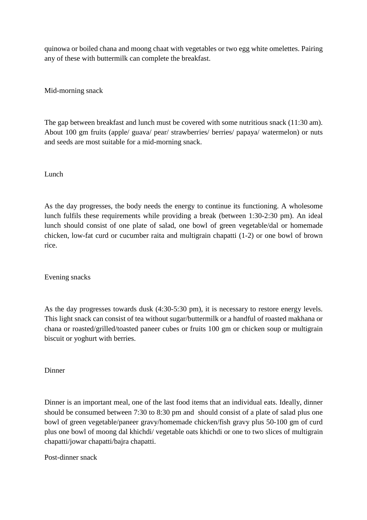quinowa or boiled chana and moong chaat with vegetables or two egg white omelettes. Pairing any of these with buttermilk can complete the breakfast.

Mid-morning snack

The gap between breakfast and lunch must be covered with some nutritious snack (11:30 am). About 100 gm fruits (apple/ guava/ pear/ strawberries/ berries/ papaya/ watermelon) or nuts and seeds are most suitable for a mid-morning snack.

Lunch

As the day progresses, the body needs the energy to continue its functioning. A wholesome lunch fulfils these requirements while providing a break (between 1:30-2:30 pm). An ideal lunch should consist of one plate of salad, one bowl of green vegetable/dal or homemade chicken, low-fat curd or cucumber raita and multigrain chapatti (1-2) or one bowl of brown rice.

Evening snacks

As the day progresses towards dusk (4:30-5:30 pm), it is necessary to restore energy levels. This light snack can consist of tea without sugar/buttermilk or a handful of roasted makhana or chana or roasted/grilled/toasted paneer cubes or fruits 100 gm or chicken soup or multigrain biscuit or yoghurt with berries.

Dinner

Dinner is an important meal, one of the last food items that an individual eats. Ideally, dinner should be consumed between 7:30 to 8:30 pm and should consist of a plate of salad plus one bowl of green vegetable/paneer gravy/homemade chicken/fish gravy plus 50-100 gm of curd plus one bowl of moong dal khichdi/ vegetable oats khichdi or one to two slices of multigrain chapatti/jowar chapatti/bajra chapatti.

Post-dinner snack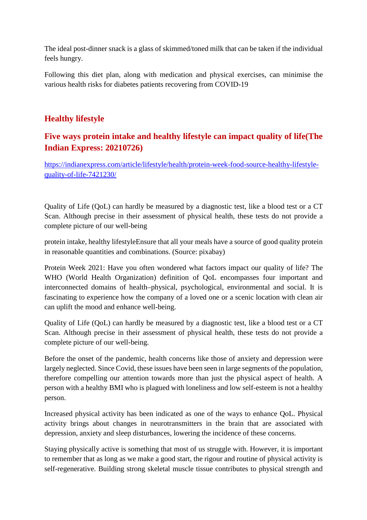The ideal post-dinner snack is a glass of skimmed/toned milk that can be taken if the individual feels hungry.

Following this diet plan, along with medication and physical exercises, can minimise the various health risks for diabetes patients recovering from COVID-19

#### **Healthy lifestyle**

#### **Five ways protein intake and healthy lifestyle can impact quality of life(The Indian Express: 20210726)**

https://indianexpress.com/article/lifestyle/health/protein-week-food-source-healthy-lifestylequality-of-life-7421230/

Quality of Life (QoL) can hardly be measured by a diagnostic test, like a blood test or a CT Scan. Although precise in their assessment of physical health, these tests do not provide a complete picture of our well-being

protein intake, healthy lifestyleEnsure that all your meals have a source of good quality protein in reasonable quantities and combinations. (Source: pixabay)

Protein Week 2021: Have you often wondered what factors impact our quality of life? The WHO (World Health Organization) definition of QoL encompasses four important and interconnected domains of health–physical, psychological, environmental and social. It is fascinating to experience how the company of a loved one or a scenic location with clean air can uplift the mood and enhance well-being.

Quality of Life (QoL) can hardly be measured by a diagnostic test, like a blood test or a CT Scan. Although precise in their assessment of physical health, these tests do not provide a complete picture of our well-being.

Before the onset of the pandemic, health concerns like those of anxiety and depression were largely neglected. Since Covid, these issues have been seen in large segments of the population, therefore compelling our attention towards more than just the physical aspect of health. A person with a healthy BMI who is plagued with loneliness and low self-esteem is not a healthy person.

Increased physical activity has been indicated as one of the ways to enhance QoL. Physical activity brings about changes in neurotransmitters in the brain that are associated with depression, anxiety and sleep disturbances, lowering the incidence of these concerns.

Staying physically active is something that most of us struggle with. However, it is important to remember that as long as we make a good start, the rigour and routine of physical activity is self-regenerative. Building strong skeletal muscle tissue contributes to physical strength and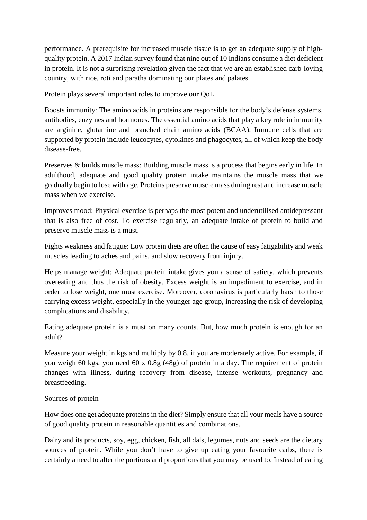performance. A prerequisite for increased muscle tissue is to get an adequate supply of highquality protein. A 2017 Indian survey found that nine out of 10 Indians consume a diet deficient in protein. It is not a surprising revelation given the fact that we are an established carb-loving country, with rice, roti and paratha dominating our plates and palates.

Protein plays several important roles to improve our QoL.

Boosts immunity: The amino acids in proteins are responsible for the body's defense systems, antibodies, enzymes and hormones. The essential amino acids that play a key role in immunity are arginine, glutamine and branched chain amino acids (BCAA). Immune cells that are supported by protein include leucocytes, cytokines and phagocytes, all of which keep the body disease-free.

Preserves & builds muscle mass: Building muscle mass is a process that begins early in life. In adulthood, adequate and good quality protein intake maintains the muscle mass that we gradually begin to lose with age. Proteins preserve muscle mass during rest and increase muscle mass when we exercise.

Improves mood: Physical exercise is perhaps the most potent and underutilised antidepressant that is also free of cost. To exercise regularly, an adequate intake of protein to build and preserve muscle mass is a must.

Fights weakness and fatigue: Low protein diets are often the cause of easy fatigability and weak muscles leading to aches and pains, and slow recovery from injury.

Helps manage weight: Adequate protein intake gives you a sense of satiety, which prevents overeating and thus the risk of obesity. Excess weight is an impediment to exercise, and in order to lose weight, one must exercise. Moreover, coronavirus is particularly harsh to those carrying excess weight, especially in the younger age group, increasing the risk of developing complications and disability.

Eating adequate protein is a must on many counts. But, how much protein is enough for an adult?

Measure your weight in kgs and multiply by 0.8, if you are moderately active. For example, if you weigh 60 kgs, you need 60 x 0.8g (48g) of protein in a day. The requirement of protein changes with illness, during recovery from disease, intense workouts, pregnancy and breastfeeding.

#### Sources of protein

How does one get adequate proteins in the diet? Simply ensure that all your meals have a source of good quality protein in reasonable quantities and combinations.

Dairy and its products, soy, egg, chicken, fish, all dals, legumes, nuts and seeds are the dietary sources of protein. While you don't have to give up eating your favourite carbs, there is certainly a need to alter the portions and proportions that you may be used to. Instead of eating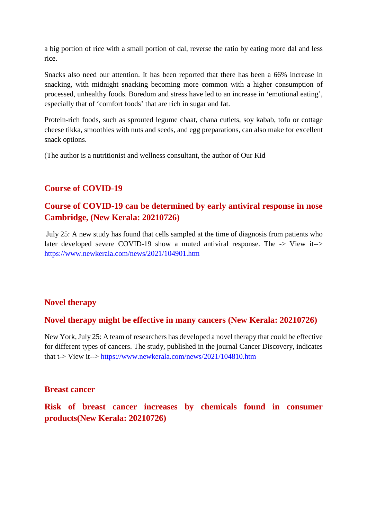a big portion of rice with a small portion of dal, reverse the ratio by eating more dal and less rice.

Snacks also need our attention. It has been reported that there has been a 66% increase in snacking, with midnight snacking becoming more common with a higher consumption of processed, unhealthy foods. Boredom and stress have led to an increase in 'emotional eating', especially that of 'comfort foods' that are rich in sugar and fat.

Protein-rich foods, such as sprouted legume chaat, chana cutlets, soy kabab, tofu or cottage cheese tikka, smoothies with nuts and seeds, and egg preparations, can also make for excellent snack options.

(The author is a nutritionist and wellness consultant, the author of Our Kid

#### **Course of COVID-19**

#### **Course of COVID-19 can be determined by early antiviral response in nose Cambridge, (New Kerala: 20210726)**

July 25: A new study has found that cells sampled at the time of diagnosis from patients who later developed severe COVID-19 show a muted antiviral response. The -> View it--> https://www.newkerala.com/news/2021/104901.htm

#### **Novel therapy**

#### **Novel therapy might be effective in many cancers (New Kerala: 20210726)**

New York, July 25: A team of researchers has developed a novel therapy that could be effective for different types of cancers. The study, published in the journal Cancer Discovery, indicates that t-> View it--> https://www.newkerala.com/news/2021/104810.htm

#### **Breast cancer**

**Risk of breast cancer increases by chemicals found in consumer products(New Kerala: 20210726)**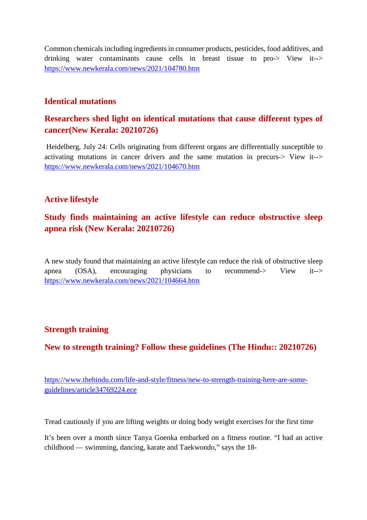Common chemicals including ingredients in consumer products, pesticides, food additives, and drinking water contaminants cause cells in breast tissue to pro-> View it--> https://www.newkerala.com/news/2021/104780.htm

#### **Identical mutations**

#### **Researchers shed light on identical mutations that cause different types of cancer(New Kerala: 20210726)**

Heidelberg, July 24: Cells originating from different organs are differentially susceptible to activating mutations in cancer drivers and the same mutation in precurs-> View it--> https://www.newkerala.com/news/2021/104670.htm

#### **Active lifestyle**

#### **Study finds maintaining an active lifestyle can reduce obstructive sleep apnea risk (New Kerala: 20210726)**

A new study found that maintaining an active lifestyle can reduce the risk of obstructive sleep apnea (OSA), encouraging physicians to recommend-> View it--> https://www.newkerala.com/news/2021/104664.htm

#### **Strength training**

#### **New to strength training? Follow these guidelines (The Hindu:: 20210726)**

https://www.thehindu.com/life-and-style/fitness/new-to-strength-training-here-are-someguidelines/article34769224.ece

Tread cautiously if you are lifting weights or doing body weight exercises for the first time

It's been over a month since Tanya Goenka embarked on a fitness routine. "I had an active childhood — swimming, dancing, karate and Taekwondo," says the 18-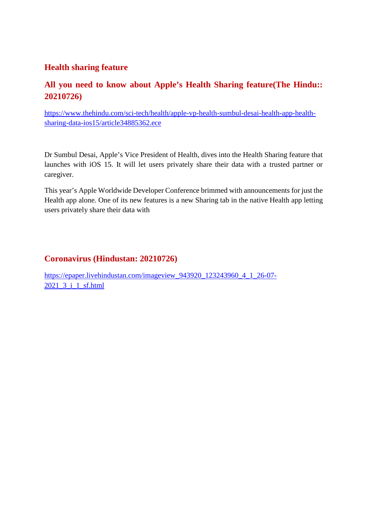#### **Health sharing feature**

#### **All you need to know about Apple's Health Sharing feature(The Hindu:: 20210726)**

https://www.thehindu.com/sci-tech/health/apple-vp-health-sumbul-desai-health-app-healthsharing-data-ios15/article34885362.ece

Dr Sumbul Desai, Apple's Vice President of Health, dives into the Health Sharing feature that launches with iOS 15. It will let users privately share their data with a trusted partner or caregiver.

This year's Apple Worldwide Developer Conference brimmed with announcements for just the Health app alone. One of its new features is a new Sharing tab in the native Health app letting users privately share their data with

#### **Coronavirus (Hindustan: 20210726)**

https://epaper.livehindustan.com/imageview\_943920\_123243960\_4\_1\_26-07- 2021\_3\_i\_1\_sf.html